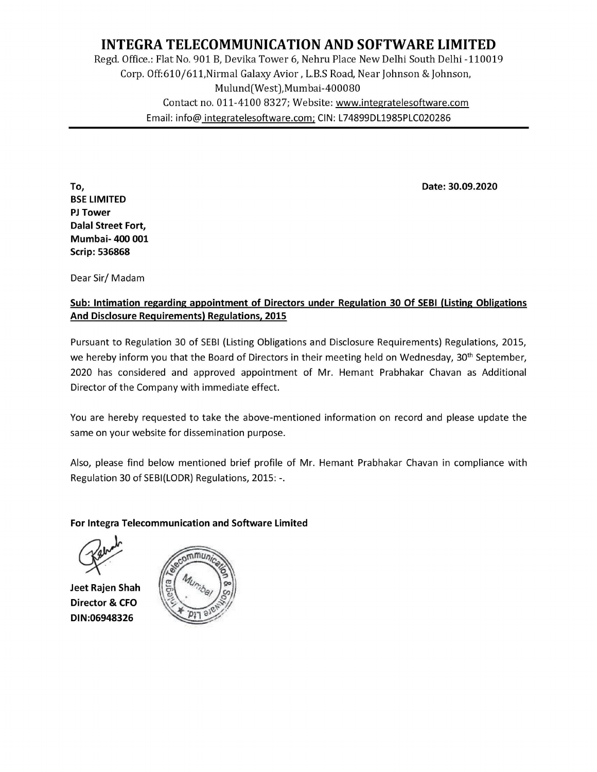# INTEGRA TELECOMMUNICATION AND SOFTWARE LIMITED Regd. Office.: Flat No. 901 B, Devika Tower 6, Nehru Place New Delhi South Delhi -110019 Corp. Off:610/611,Nirmal Galaxy Avior , L.B.S Road, Near Johnson & Johnson, Mulund(West),Mumbai-400080 Contact no. 011-4100 8327; Website: www.integratelesoftware.com **INTEGRA TELECOMMUNICATI**<br>Regd. Office.: Flat No. 901 B, Devika Tower 6,<br>Corp. Off:610/611,Nirmal Galaxy Avior<br>Mulund(West),Mu<br>Contact no. 011-4100 8327; W<br>Email: info@ <u>integratelesoftware.c</u> Email: info@ integratelesoftware.com; CIN: L74899DL1985PLC020286 **ND SOFTW**<br>Place New Delh<br>oad, Near John<br>0080<br>www.integrate

To, Date: 30.09.2020 BSE LIMITED PJ Tower Dalal Street Fort, Mumbai- 400 001 Scrip: 536868 Email: info@ integratelesoftware<br>
Finail: info@ integratelesoftware<br>
Disclosure Requirements)<br>
Discrip: 536868<br>
Dear Sir/ Madam<br>
Sub: Intimation regarding appointment of Direc<br>
And Disclosure Requirements) Regulations, 201

Dear Sir/ Madam

## Sub: Intimation regarding appointment of Directors under Regulation 30 Of SEBI (Listing Obligations

Pursuant to Regulation 30 of SEBI (Listing Obligations and Disclosure Requirements) Regulations, 2015, we hereby inform you that the Board of Directors in their meeting held on Wednesday, 30<sup>th</sup> September, 2020 has considered and approved appointment of Mr. Hemant Prabhakar Chavan as Additional Director of the Company with immediate effect.

You are hereby requested to take the above-mentioned information on record and please update the same on your website for dissemination purpose.

Also, please find below mentioned brief profile of Mr. Hemant Prabhakar Chavan in compliance with Regulation 30 of SEBI(LODR) Regulations, 2015: -.

#### For Integra Telecommunication and Software Limited

Jeet Rajen Shah Director & CFO DIN:06948326